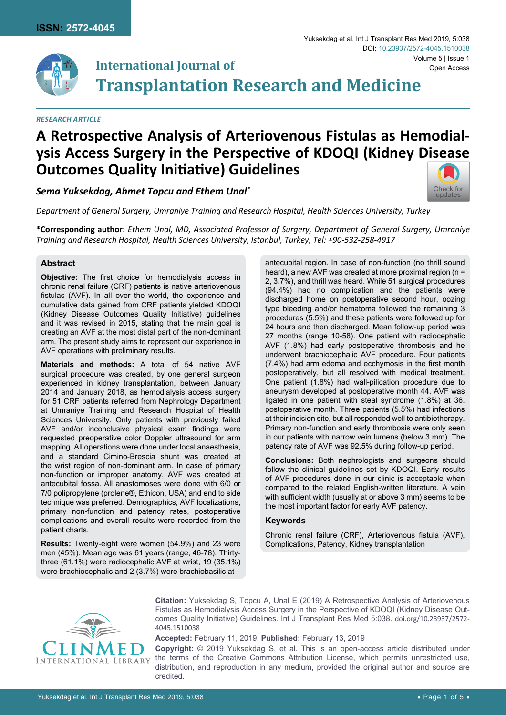

# **International Journal of Transplantation Research and Medicine** Volume 5 | Issue 1 DOI: [10.23937/2572-4045.1510038](https://doi.org/10.23937/2572-4045.1510038)

#### *RESEARCH ARTICLE*

# **A Retrospective Analysis of Arteriovenous Fistulas as Hemodialysis Access Surgery in the Perspective of KDOQI (Kidney Disease Outcomes Quality Initiative) Guidelines**

*Sema Yuksekdag, Ahmet Topcu and Ethem Unal\**

*Department of General Surgery, Umraniye Training and Research Hospital, Health Sciences University, Turkey*

**\*Corresponding author:** *Ethem Unal, MD, Associated Professor of Surgery, Department of General Surgery, Umraniye Training and Research Hospital, Health Sciences University, Istanbul, Turkey, Tel: +90-532-258-4917*

### **Abstract**

**Objective:** The first choice for hemodialysis access in chronic renal failure (CRF) patients is native arteriovenous fistulas (AVF). In all over the world, the experience and cumulative data gained from CRF patients yielded KDOQI (Kidney Disease Outcomes Quality Initiative) guidelines and it was revised in 2015, stating that the main goal is creating an AVF at the most distal part of the non-dominant arm. The present study aims to represent our experience in AVF operations with preliminary results.

**Materials and methods:** A total of 54 native AVF surgical procedure was created, by one general surgeon experienced in kidney transplantation, between January 2014 and January 2018, as hemodialysis access surgery for 51 CRF patients referred from Nephrology Department at Umraniye Training and Research Hospital of Health Sciences University. Only patients with previously failed AVF and/or inconclusive physical exam findings were requested preoperative color Doppler ultrasound for arm mapping. All operations were done under local anaesthesia, and a standard Cimino-Brescia shunt was created at the wrist region of non-dominant arm. In case of primary non-function or improper anatomy, AVF was created at antecubital fossa. All anastomoses were done with 6/0 or 7/0 polipropylene (prolene®, Ethicon, USA) and end to side technique was preferred. Demographics, AVF localizations, primary non-function and patency rates, postoperative complications and overall results were recorded from the patient charts.

**Results:** Twenty-eight were women (54.9%) and 23 were men (45%). Mean age was 61 years (range, 46-78). Thirtythree (61.1%) were radiocephalic AVF at wrist, 19 (35.1%) were brachiocephalic and 2 (3.7%) were brachiobasilic at

antecubital region. In case of non-function (no thrill sound heard), a new AVF was created at more proximal region (n = 2, 3.7%), and thrill was heard. While 51 surgical procedures (94.4%) had no complication and the patients were discharged home on postoperative second hour, oozing type bleeding and/or hematoma followed the remaining 3 procedures (5.5%) and these patients were followed up for 24 hours and then discharged. Mean follow-up period was 27 months (range 10-58). One patient with radiocephalic AVF (1.8%) had early postoperative thrombosis and he underwent brachiocephalic AVF procedure. Four patients (7.4%) had arm edema and ecchymosis in the first month postoperatively, but all resolved with medical treatment. One patient (1.8%) had wall-pilication procedure due to aneurysm developed at postoperative month 44. AVF was ligated in one patient with steal syndrome (1.8%) at 36. postoperative month. Three patients (5.5%) had infections at their incision site, but all responded well to antibiotherapy. Primary non-function and early thrombosis were only seen in our patients with narrow vein lumens (below 3 mm). The patency rate of AVF was 92.5% during follow-up period.

Yuksekdag et al. Int J Transplant Res Med 2019, 5:038

Open Access

[Check for](http://crossmark.crossref.org/dialog/?doi=10.23937/2572-4045.1510038&domain=pdf) updates

**Conclusions:** Both nephrologists and surgeons should follow the clinical guidelines set by KDOQI. Early results of AVF procedures done in our clinic is acceptable when compared to the related English-written literature. A vein with sufficient width (usually at or above 3 mm) seems to be the most important factor for early AVF patency.

#### **Keywords**

Chronic renal failure (CRF), Arteriovenous fistula (AVF), Complications, Patency, Kidney transplantation



**Citation:** Yuksekdag S, Topcu A, Unal E (2019) A Retrospective Analysis of Arteriovenous Fistulas as Hemodialysis Access Surgery in the Perspective of KDOQI (Kidney Disease Outcomes Quality Initiative) Guidelines. Int J Transplant Res Med 5:038. [doi.org/10.23937/2572-](https://doi.org/10.23937/2572-4045.1510038) [4045.1510038](https://doi.org/10.23937/2572-4045.1510038)

**Accepted:** February 11, 2019: **Published:** February 13, 2019

**Copyright:** © 2019 Yuksekdag S, et al. This is an open-access article distributed under the terms of the Creative Commons Attribution License, which permits unrestricted use, distribution, and reproduction in any medium, provided the original author and source are credited.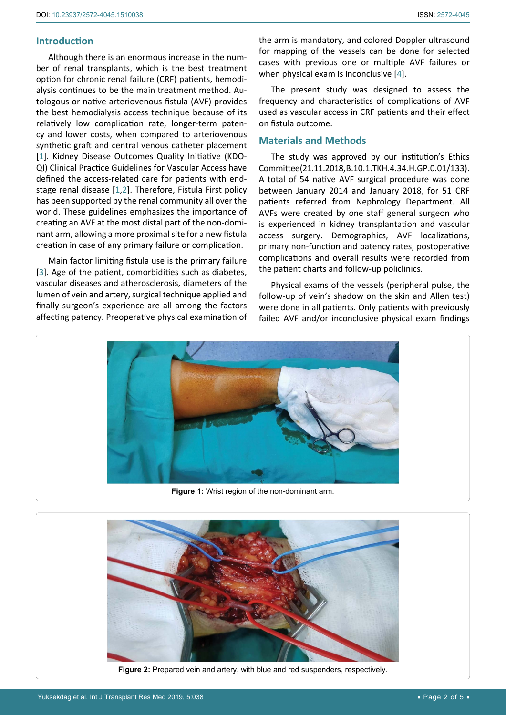## **Introduction**

<span id="page-1-0"></span>Ĩ

Although there is an enormous increase in the number of renal transplants, which is the best treatment option for chronic renal failure (CRF) patients, hemodialysis continues to be the main treatment method. Autologous or native arteriovenous fistula (AVF) provides the best hemodialysis access technique because of its relatively low complication rate, longer-term patency and lower costs, when compared to arteriovenous synthetic graft and central venous catheter placement [[1](#page-3-1)]. Kidney Disease Outcomes Quality Initiative (KDO-QI) Clinical Practice Guidelines for Vascular Access have defined the access-related care for patients with endstage renal disease [[1](#page-3-1),[2](#page-3-2)]. Therefore, Fistula First policy has been supported by the renal community all over the world. These guidelines emphasizes the importance of creating an AVF at the most distal part of the non-dominant arm, allowing a more proximal site for a new fistula creation in case of any primary failure or complication.

Main factor limiting fistula use is the primary failure [[3](#page-3-3)]. Age of the patient, comorbidities such as diabetes, vascular diseases and atherosclerosis, diameters of the lumen of vein and artery, surgical technique applied and finally surgeon's experience are all among the factors affecting patency. Preoperative physical examination of the arm is mandatory, and colored Doppler ultrasound for mapping of the vessels can be done for selected cases with previous one or multiple AVF failures or when physical exam is inconclusive [\[4\]](#page-3-0).

The present study was designed to assess the frequency and characteristics of complications of AVF used as vascular access in CRF patients and their effect on fistula outcome.

### **Materials and Methods**

The study was approved by our institution's Ethics Committee (21.11.2018, B.10.1.TKH.4.34.H.GP.0.01/133). A total of 54 native AVF surgical procedure was done between January 2014 and January 2018, for 51 CRF patients referred from Nephrology Department. All AVFs were created by one staff general surgeon who is experienced in kidney transplantation and vascular access surgery. Demographics, AVF localizations, primary non-function and patency rates, postoperative complications and overall results were recorded from the patient charts and follow-up policlinics.

Physical exams of the vessels (peripheral pulse, the follow-up of vein's shadow on the skin and Allen test) were done in all patients. Only patients with previously failed AVF and/or inconclusive physical exam findings



**Figure 1:** Wrist region of the non-dominant arm.

<span id="page-1-1"></span>

**Figure 2:** Prepared vein and artery, with blue and red suspenders, respectively.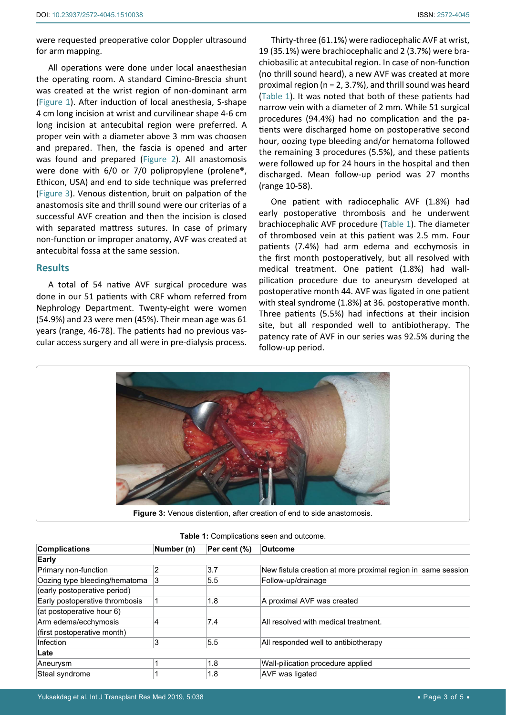were requested preoperative color Doppler ultrasound for arm mapping.

All operations were done under local anaesthesian the operating room. A standard Cimino-Brescia shunt was created at the wrist region of non-dominant arm ([Figure 1\)](#page-1-0). After induction of local anesthesia, S-shape 4 cm long incision at wrist and curvilinear shape 4-6 cm long incision at antecubital region were preferred. A proper vein with a diameter above 3 mm was choosen and prepared. Then, the fascia is opened and arter was found and prepared [\(Figure 2\)](#page-1-1). All anastomosis were done with 6/0 or 7/0 polipropylene (prolene®, Ethicon, USA) and end to side technique was preferred ([Figure 3](#page-2-1)). Venous distention, bruit on palpation of the anastomosis site and thrill sound were our criterias of a successful AVF creation and then the incision is closed with separated mattress sutures. In case of primary non-function or improper anatomy, AVF was created at antecubital fossa at the same session.

### **Results**

A total of 54 native AVF surgical procedure was done in our 51 patients with CRF whom referred from Nephrology Department. Twenty-eight were women (54.9%) and 23 were men (45%). Their mean age was 61 years (range, 46-78). The patients had no previous vascular access surgery and all were in pre-dialysis process.

Thirty-three (61.1%) were radiocephalic AVF at wrist, 19 (35.1%) were brachiocephalic and 2 (3.7%) were brachiobasilic at antecubital region. In case of non-function (no thrill sound heard), a new AVF was created at more proximal region (n = 2, 3.7%), and thrill sound was heard ([Table 1](#page-2-0)). It was noted that both of these patients had narrow vein with a diameter of 2 mm. While 51 surgical procedures (94.4%) had no complication and the patients were discharged home on postoperative second hour, oozing type bleeding and/or hematoma followed the remaining 3 procedures (5.5%), and these patients were followed up for 24 hours in the hospital and then discharged. Mean follow-up period was 27 months (range 10-58).

One patient with radiocephalic AVF (1.8%) had early postoperative thrombosis and he underwent brachiocephalic AVF procedure ([Table 1](#page-2-0)). The diameter of thrombosed vein at this patient was 2.5 mm. Four patients (7.4%) had arm edema and ecchymosis in the first month postoperatively, but all resolved with medical treatment. One patient (1.8%) had wallpilication procedure due to aneurysm developed at postoperative month 44. AVF was ligated in one patient with steal syndrome (1.8%) at 36. postoperative month. Three patients (5.5%) had infections at their incision site, but all responded well to antibiotherapy. The patency rate of AVF in our series was 92.5% during the follow-up period.

<span id="page-2-1"></span>

| <b>Complications</b>           | Number (n)     | Per cent (%) | <b>Outcome</b>                                               |
|--------------------------------|----------------|--------------|--------------------------------------------------------------|
| Early                          |                |              |                                                              |
| Primary non-function           | $\overline{2}$ | 3.7          | New fistula creation at more proximal region in same session |
| Oozing type bleeding/hematoma  | 3              | 5.5          | Follow-up/drainage                                           |
| (early postoperative period)   |                |              |                                                              |
| Early postoperative thrombosis |                | 1.8          | A proximal AVF was created                                   |
| (at postoperative hour 6)      |                |              |                                                              |
| Arm edema/ecchymosis           | 4              | 7.4          | All resolved with medical treatment.                         |
| (first postoperative month)    |                |              |                                                              |
| Infection                      | 3              | 5.5          | All responded well to antibiotherapy                         |
| Late                           |                |              |                                                              |
| Aneurysm                       |                | 1.8          | Wall-pilication procedure applied                            |
| Steal syndrome                 |                | 1.8          | <b>AVF</b> was ligated                                       |

<span id="page-2-0"></span>**Table 1:** Complications seen and outcome.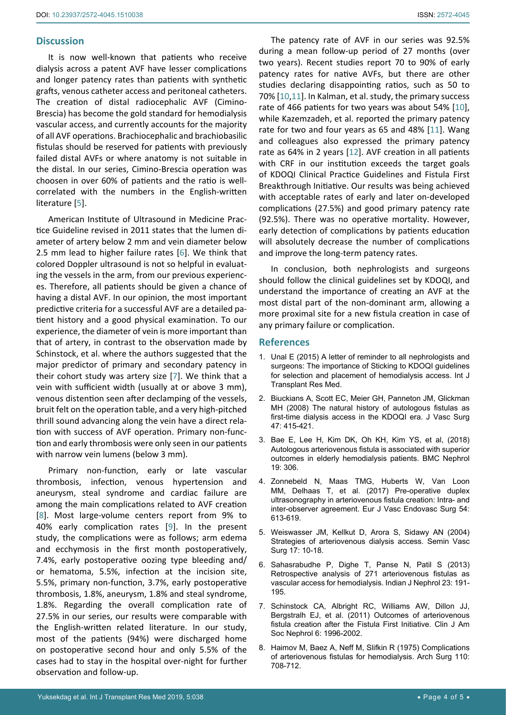### **Discussion**

It is now well-known that patients who receive dialysis across a patent AVF have lesser complications and longer patency rates than patients with synthetic grafts, venous catheter access and peritoneal catheters. The creation of distal radiocephalic AVF (Cimino-Brescia) has become the gold standard for hemodialysis vascular access, and currently accounts for the majority of all AVF operations. Brachiocephalic and brachiobasilic fistulas should be reserved for patients with previously failed distal AVFs or where anatomy is not suitable in the distal. In our series, Cimino-Brescia operation was choosen in over 60% of patients and the ratio is wellcorrelated with the numbers in the English-written literature [\[5](#page-3-4)].

American Institute of Ultrasound in Medicine Practice Guideline revised in 2011 states that the lumen diameter of artery below 2 mm and vein diameter below 2.5 mm lead to higher failure rates [[6](#page-3-4)]. We think that colored Doppler ultrasound is not so helpful in evaluating the vessels in the arm, from our previous experiences. Therefore, all patients should be given a chance of having a distal AVF. In our opinion, the most important predictive criteria for a successful AVF are a detailed patient history and a good physical examination. To our experience, the diameter of vein is more important than that of artery, in contrast to the observation made by Schinstock, et al. where the authors suggested that the major predictor of primary and secondary patency in their cohort study was artery size [[7\]](#page-3-5). We think that a vein with sufficient width (usually at or above 3 mm), venous distention seen after declamping of the vessels, bruit felt on the operation table, and a very high-pitched thrill sound advancing along the vein have a direct relation with success of AVF operation. Primary non-function and early thrombosis were only seen in our patients with narrow vein lumens (below 3 mm).

Primary non-function, early or late vascular thrombosis, infection, venous hypertension and aneurysm, steal syndrome and cardiac failure are among the main complications related to AVF creation [[8](#page-3-6)]. Most large-volume centers report from 9% to 40% early complication rates [[9](#page-4-3)]. In the present study, the complications were as follows; arm edema and ecchymosis in the first month postoperatively, 7.4%, early postoperative oozing type bleeding and/ or hematoma, 5.5%, infection at the incision site, 5.5%, primary non-function, 3.7%, early postoperative thrombosis, 1.8%, aneurysm, 1.8% and steal syndrome, 1.8%. Regarding the overall complication rate of 27.5% in our series, our results were comparable with the English-written related literature. In our study, most of the patients (94%) were discharged home on postoperative second hour and only 5.5% of the cases had to stay in the hospital over-night for further observation and follow-up.

The patency rate of AVF in our series was 92.5% during a mean follow-up period of 27 months (over two years). Recent studies report 70 to 90% of early patency rates for native AVFs, but there are other studies declaring disappointing ratios, such as 50 to 70% [[10](#page-4-0)[,11](#page-4-1)]. In Kalman, et al. study, the primary success rate of 466 patients for two years was about 54% [[10\]](#page-4-0), while Kazemzadeh, et al. reported the primary patency rate for two and four years as 65 and 48% [[11](#page-4-1)]. Wang and colleagues also expressed the primary patency rate as 64% in 2 years [[12](#page-4-2)]. AVF creation in all patients with CRF in our institution exceeds the target goals of KDOQI Clinical Practice Guidelines and Fistula First Breakthrough Initiative. Our results was being achieved with acceptable rates of early and later on-developed complications (27.5%) and good primary patency rate (92.5%). There was no operative mortality. However, early detection of complications by patients education will absolutely decrease the number of complications and improve the long-term patency rates.

In conclusion, both nephrologists and surgeons should follow the clinical guidelines set by KDOQI, and understand the importance of creating an AVF at the most distal part of the non-dominant arm, allowing a more proximal site for a new fistula creation in case of any primary failure or complication.

### **References**

- <span id="page-3-1"></span>1. [Unal E \(2015\) A letter of reminder to all nephrologists and](https://www.clinmedjournals.org/articles/ijtrm/ijtrm-1-003e.pdf)  [surgeons: The importance of Sticking to KDOQI guidelines](https://www.clinmedjournals.org/articles/ijtrm/ijtrm-1-003e.pdf)  [for selection and placement of hemodialysis access. Int J](https://www.clinmedjournals.org/articles/ijtrm/ijtrm-1-003e.pdf)  [Transplant Res Med.](https://www.clinmedjournals.org/articles/ijtrm/ijtrm-1-003e.pdf)
- <span id="page-3-2"></span>2. [Biuckians A, Scott EC, Meier GH, Panneton JM, Glickman](https://www.ncbi.nlm.nih.gov/pubmed/18241764)  [MH \(2008\) The natural history of autologous fistulas as](https://www.ncbi.nlm.nih.gov/pubmed/18241764)  [first-time dialysis access in the KDOQI era. J Vasc Surg](https://www.ncbi.nlm.nih.gov/pubmed/18241764)  [47: 415-421.](https://www.ncbi.nlm.nih.gov/pubmed/18241764)
- <span id="page-3-3"></span>3. [Bae E, Lee H, Kim DK, Oh KH, Kim YS, et al, \(2018\)](https://www.ncbi.nlm.nih.gov/pubmed/30400882)  [Autologous arteriovenous fistula is associated with superior](https://www.ncbi.nlm.nih.gov/pubmed/30400882)  [outcomes in elderly hemodialysis patients. BMC Nephrol](https://www.ncbi.nlm.nih.gov/pubmed/30400882)  [19: 306.](https://www.ncbi.nlm.nih.gov/pubmed/30400882)
- <span id="page-3-0"></span>4. [Zonnebeld N, Maas TMG, Huberts W, Van Loon](https://www.ncbi.nlm.nih.gov/pubmed/28947359)  [MM, Delhaas T, et al. \(2017\) Pre-operative duplex](https://www.ncbi.nlm.nih.gov/pubmed/28947359)  [ultrasonography in arteriovenous fistula creation: Intra- and](https://www.ncbi.nlm.nih.gov/pubmed/28947359)  [inter-observer agreement. Eur J Vasc Endovasc Surg 54:](https://www.ncbi.nlm.nih.gov/pubmed/28947359)  [613-619.](https://www.ncbi.nlm.nih.gov/pubmed/28947359)
- <span id="page-3-4"></span>5. [Weiswasser JM, Kellkut D, Arora S, Sidawy AN \(2004\)](https://www.ncbi.nlm.nih.gov/pubmed/15011174)  [Strategies of arteriovenous dialysis access. Semin Vasc](https://www.ncbi.nlm.nih.gov/pubmed/15011174)  [Surg 17: 10-18.](https://www.ncbi.nlm.nih.gov/pubmed/15011174)
- 6. [Sahasrabudhe P, Dighe T, Panse N, Patil S \(2013\)](https://www.ncbi.nlm.nih.gov/pubmed/23814417)  [Retrospective analysis of 271 arteriovenous fistulas as](https://www.ncbi.nlm.nih.gov/pubmed/23814417)  [vascular access for hemodialysis. Indian J Nephrol 23: 191-](https://www.ncbi.nlm.nih.gov/pubmed/23814417) [195.](https://www.ncbi.nlm.nih.gov/pubmed/23814417)
- <span id="page-3-5"></span>7. [Schinstock CA, Albright RC, Williams AW, Dillon JJ,](https://www.ncbi.nlm.nih.gov/pubmed/21737851)  [Bergstralh EJ, et al. \(2011\) Outcomes of arteriovenous](https://www.ncbi.nlm.nih.gov/pubmed/21737851)  [fistula creation after the Fistula First Initiative. Clin J Am](https://www.ncbi.nlm.nih.gov/pubmed/21737851)  [Soc Nephrol 6: 1996-2002.](https://www.ncbi.nlm.nih.gov/pubmed/21737851)
- <span id="page-3-6"></span>8. [Haimov M, Baez A, Neff M, Slifkin R \(1975\) Complications](https://www.ncbi.nlm.nih.gov/pubmed/1147768)  [of arteriovenous fistulas for hemodialysis. Arch Surg 110:](https://www.ncbi.nlm.nih.gov/pubmed/1147768)  [708-712.](https://www.ncbi.nlm.nih.gov/pubmed/1147768)